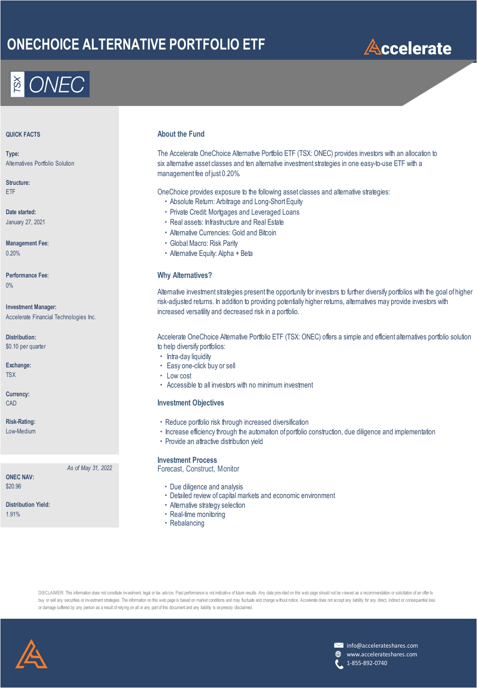## **ONECHOICE ALTERNATIVE PORTFOLIO ETF**



**Type:** Alternatives Portfolio Solution

**Structure:**

January 27, 2021

0%

**Investment Manager:** Accelerate Financial Technologies Inc.

**Distribution:** \$0.10 per quarter

**Currency:**

**ONEC NAV:**

### **About the Fund**

The Accelerate OneChoice Alternative Portfolio ETF (TSX: ONEC) provides investors with an allocation to six alternative asset classes and ten alternative investment strategies in one easy-to-use ETF with a management fee of just 0.20%.

ETF OneChoice provides exposure to the following asset classes and alternative strategies:

- ・Absolute Return: Arbitrage and Long-Short Equity
- **Date started: Date started: example 20 and 20 and 20 and 20 and 20 and 20 and 20 and 20 and 20 and 20 and 20 and 20 and 20 and 20 and 20 and 20 and 20 and 20 and 20 and 20 and 20 and 20 and 20 and 20 and 20 and 20 and** 
	- ・Real assets: Infrastructure and Real Estate
	- ・Alternative Currencies: Gold and Bitcoin
- **Management Fee:** National Macro: Risk Parity
- 0.20% **Alternative Equity: Alpha + Beta**

#### **Performance Fee: Why Alternatives?**

Alternative investment strategies present the opportunity for investors to further diversify portfolios with the goal of higher risk-adjusted returns. In addition to providing potentially higher returns, alternatives may provide investors with increased versatility and decreased risk in a portfolio.

Accelerate OneChoice Alternative Portfolio ETF (TSX: ONEC) offers a simple and efficient alternatives portfolio solution to help diversify portfolios:

- ・ Intra-day liquidity
- **Exchange:**  $\blacksquare$  **Easy one-click buy or sell**
- TSX **Example 2018 CONSTRUCTER CONSTRUCTS CONSTRUCTS CONSTRUCTS** 
	- ・ Accessible to all investors with no minimum investment

#### CAD **Investment Objectives**

- **Risk-Rating:** Night and the set of the set of the Reduce portfolio risk through increased diversification
- Low-Medium **increase efficiency through the automation** of portfolio construction, due diligence and implementation
	- ・Provide an attractive distribution yield

#### **Investment Process**

*As of May 31, 2022* Forecast, Construct, Monitor

- \$20.96  **Due diligence and analysis Due diligence and analysis** 
	- ・Detailed review of capital markets and economic environment
- Distribution Yield: **Nation Strategy selection · Alternative strategy selection**
- 1.91%  **Real-time monitoring** 
	- ・Rebalancing

DISCLAIMER: This information does not constitute investment, legal or tax advice. Past performance is not indicative of future results. Any data provided on this web page should not be viewed as a recommendation or solicit buy or sell any securities or investment strategies. The information on this web page is based on market conditions and may fluctuate and change without notice. Accelerate does not accept any liability for any direct, indi or damage suffered by any person as a result of relying on all or any part of this document and any liability is expressly disclaimed.





www.accelerateshares.com 1-855-892-0740

# **Accelerate**